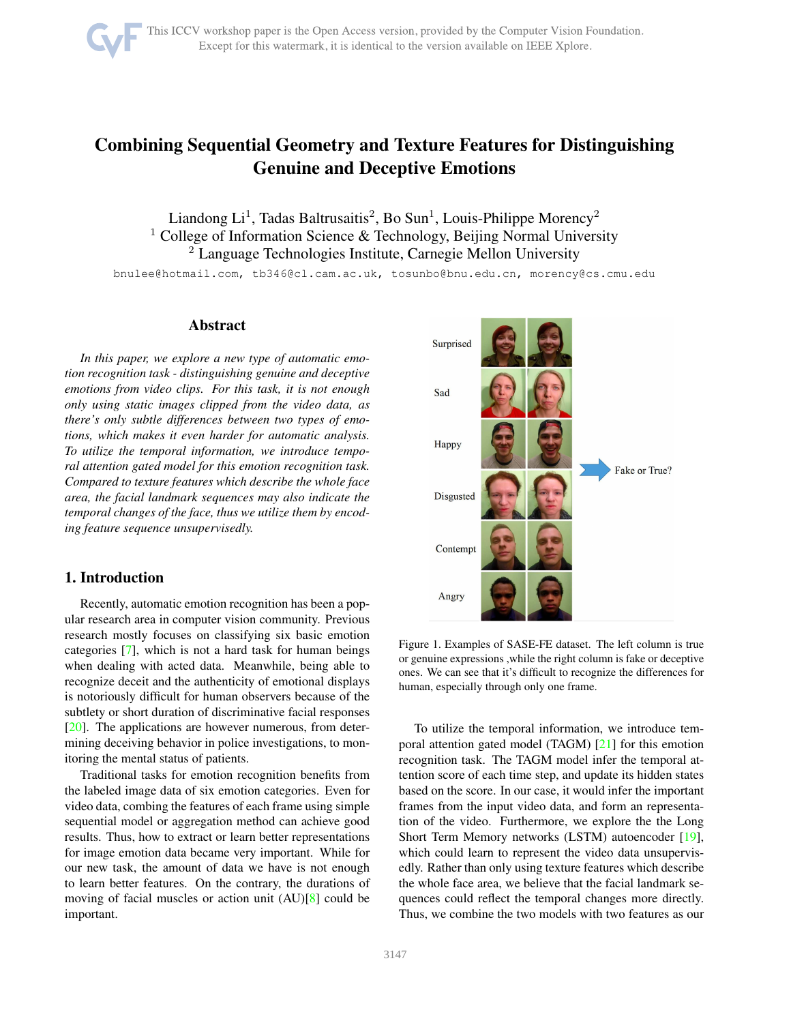

# <span id="page-0-1"></span>Combining Sequential Geometry and Texture Features for Distinguishing Genuine and Deceptive Emotions

Liandong Li<sup>1</sup>, Tadas Baltrusaitis<sup>2</sup>, Bo Sun<sup>1</sup>, Louis-Philippe Morency<sup>2</sup> <sup>1</sup> College of Information Science & Technology, Beijing Normal University <sup>2</sup> Language Technologies Institute, Carnegie Mellon University

bnulee@hotmail.com, tb346@cl.cam.ac.uk, tosunbo@bnu.edu.cn, morency@cs.cmu.edu

### Abstract

*In this paper, we explore a new type of automatic emotion recognition task - distinguishing genuine and deceptive emotions from video clips. For this task, it is not enough only using static images clipped from the video data, as there's only subtle differences between two types of emotions, which makes it even harder for automatic analysis. To utilize the temporal information, we introduce temporal attention gated model for this emotion recognition task. Compared to texture features which describe the whole face area, the facial landmark sequences may also indicate the temporal changes of the face, thus we utilize them by encoding feature sequence unsupervisedly.*

# 1. Introduction

Recently, automatic emotion recognition has been a popular research area in computer vision community. Previous research mostly focuses on classifying six basic emotion categories [\[7\]](#page-5-0), which is not a hard task for human beings when dealing with acted data. Meanwhile, being able to recognize deceit and the authenticity of emotional displays is notoriously difficult for human observers because of the subtlety or short duration of discriminative facial responses [\[20\]](#page-6-0). The applications are however numerous, from determining deceiving behavior in police investigations, to monitoring the mental status of patients.

Traditional tasks for emotion recognition benefits from the labeled image data of six emotion categories. Even for video data, combing the features of each frame using simple sequential model or aggregation method can achieve good results. Thus, how to extract or learn better representations for image emotion data became very important. While for our new task, the amount of data we have is not enough to learn better features. On the contrary, the durations of moving of facial muscles or action unit (AU)[\[8\]](#page-5-1) could be important.



<span id="page-0-0"></span>Figure 1. Examples of SASE-FE dataset. The left column is true or genuine expressions ,while the right column is fake or deceptive ones. We can see that it's difficult to recognize the differences for human, especially through only one frame.

To utilize the temporal information, we introduce temporal attention gated model (TAGM) [\[21\]](#page-6-1) for this emotion recognition task. The TAGM model infer the temporal attention score of each time step, and update its hidden states based on the score. In our case, it would infer the important frames from the input video data, and form an representation of the video. Furthermore, we explore the the Long Short Term Memory networks (LSTM) autoencoder [\[19\]](#page-6-2), which could learn to represent the video data unsupervisedly. Rather than only using texture features which describe the whole face area, we believe that the facial landmark sequences could reflect the temporal changes more directly. Thus, we combine the two models with two features as our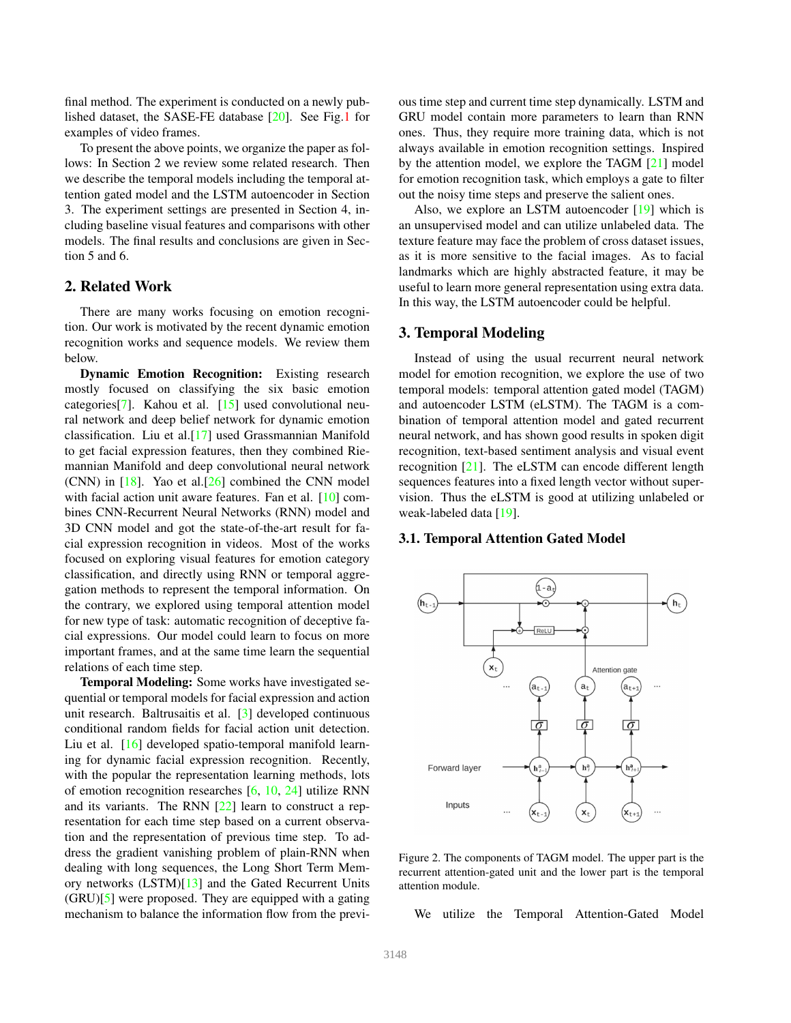<span id="page-1-1"></span>final method. The experiment is conducted on a newly published dataset, the SASE-FE database [\[20\]](#page-6-0). See Fig[.1](#page-0-0) for examples of video frames.

To present the above points, we organize the paper as follows: In Section 2 we review some related research. Then we describe the temporal models including the temporal attention gated model and the LSTM autoencoder in Section 3. The experiment settings are presented in Section 4, including baseline visual features and comparisons with other models. The final results and conclusions are given in Section 5 and 6.

# 2. Related Work

There are many works focusing on emotion recognition. Our work is motivated by the recent dynamic emotion recognition works and sequence models. We review them below.

Dynamic Emotion Recognition: Existing research mostly focused on classifying the six basic emotion categories[\[7\]](#page-5-0). Kahou et al. [\[15\]](#page-6-3) used convolutional neural network and deep belief network for dynamic emotion classification. Liu et al.[\[17\]](#page-6-4) used Grassmannian Manifold to get facial expression features, then they combined Riemannian Manifold and deep convolutional neural network (CNN) in [\[18\]](#page-6-5). Yao et al.[\[26\]](#page-6-6) combined the CNN model with facial action unit aware features. Fan et al. [\[10\]](#page-6-7) combines CNN-Recurrent Neural Networks (RNN) model and 3D CNN model and got the state-of-the-art result for facial expression recognition in videos. Most of the works focused on exploring visual features for emotion category classification, and directly using RNN or temporal aggregation methods to represent the temporal information. On the contrary, we explored using temporal attention model for new type of task: automatic recognition of deceptive facial expressions. Our model could learn to focus on more important frames, and at the same time learn the sequential relations of each time step.

Temporal Modeling: Some works have investigated sequential or temporal models for facial expression and action unit research. Baltrusaitis et al. [\[3\]](#page-5-2) developed continuous conditional random fields for facial action unit detection. Liu et al. [\[16\]](#page-6-8) developed spatio-temporal manifold learning for dynamic facial expression recognition. Recently, with the popular the representation learning methods, lots of emotion recognition researches [\[6,](#page-5-3) [10,](#page-6-7) [24\]](#page-6-9) utilize RNN and its variants. The RNN [\[22\]](#page-6-10) learn to construct a representation for each time step based on a current observation and the representation of previous time step. To address the gradient vanishing problem of plain-RNN when dealing with long sequences, the Long Short Term Memory networks (LSTM)[\[13\]](#page-6-11) and the Gated Recurrent Units  $(GRU)[5]$  $(GRU)[5]$  were proposed. They are equipped with a gating mechanism to balance the information flow from the previous time step and current time step dynamically. LSTM and GRU model contain more parameters to learn than RNN ones. Thus, they require more training data, which is not always available in emotion recognition settings. Inspired by the attention model, we explore the TAGM [\[21\]](#page-6-1) model for emotion recognition task, which employs a gate to filter out the noisy time steps and preserve the salient ones.

Also, we explore an LSTM autoencoder [\[19\]](#page-6-2) which is an unsupervised model and can utilize unlabeled data. The texture feature may face the problem of cross dataset issues, as it is more sensitive to the facial images. As to facial landmarks which are highly abstracted feature, it may be useful to learn more general representation using extra data. In this way, the LSTM autoencoder could be helpful.

# 3. Temporal Modeling

Instead of using the usual recurrent neural network model for emotion recognition, we explore the use of two temporal models: temporal attention gated model (TAGM) and autoencoder LSTM (eLSTM). The TAGM is a combination of temporal attention model and gated recurrent neural network, and has shown good results in spoken digit recognition, text-based sentiment analysis and visual event recognition [\[21\]](#page-6-1). The eLSTM can encode different length sequences features into a fixed length vector without supervision. Thus the eLSTM is good at utilizing unlabeled or weak-labeled data [\[19\]](#page-6-2).

## 3.1. Temporal Attention Gated Model



<span id="page-1-0"></span>Figure 2. The components of TAGM model. The upper part is the recurrent attention-gated unit and the lower part is the temporal attention module.

We utilize the Temporal Attention-Gated Model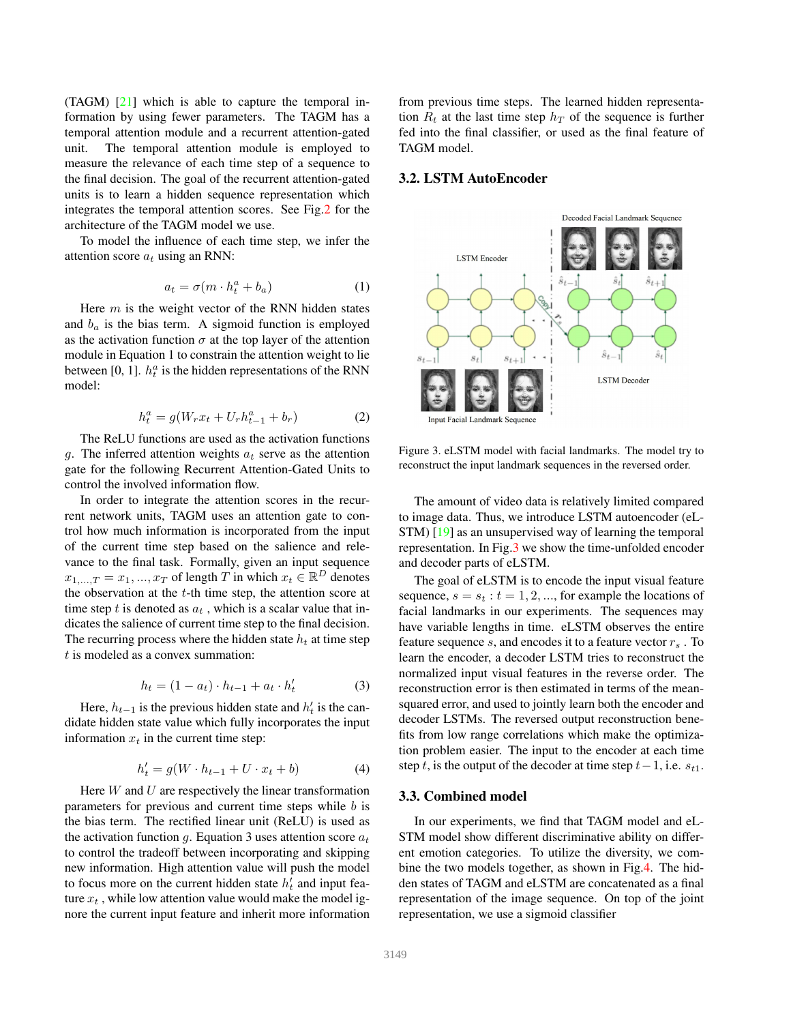<span id="page-2-1"></span>(TAGM) [\[21\]](#page-6-1) which is able to capture the temporal information by using fewer parameters. The TAGM has a temporal attention module and a recurrent attention-gated unit. The temporal attention module is employed to measure the relevance of each time step of a sequence to the final decision. The goal of the recurrent attention-gated units is to learn a hidden sequence representation which integrates the temporal attention scores. See Fig[.2](#page-1-0) for the architecture of the TAGM model we use.

To model the influence of each time step, we infer the attention score  $a_t$  using an RNN:

$$
a_t = \sigma(m \cdot h_t^a + b_a) \tag{1}
$$

Here  $m$  is the weight vector of the RNN hidden states and  $b_a$  is the bias term. A sigmoid function is employed as the activation function  $\sigma$  at the top layer of the attention module in Equation 1 to constrain the attention weight to lie between [0, 1].  $h_t^a$  is the hidden representations of the RNN model:

$$
h_t^a = g(W_r x_t + U_r h_{t-1}^a + b_r)
$$
 (2)

The ReLU functions are used as the activation functions g. The inferred attention weights  $a_t$  serve as the attention gate for the following Recurrent Attention-Gated Units to control the involved information flow.

In order to integrate the attention scores in the recurrent network units, TAGM uses an attention gate to control how much information is incorporated from the input of the current time step based on the salience and relevance to the final task. Formally, given an input sequence  $x_{1,...,T} = x_1, ..., x_T$  of length T in which  $x_t \in \mathbb{R}^D$  denotes the observation at the  $t$ -th time step, the attention score at time step t is denoted as  $a_t$ , which is a scalar value that indicates the salience of current time step to the final decision. The recurring process where the hidden state  $h_t$  at time step  $t$  is modeled as a convex summation:

$$
h_t = (1 - a_t) \cdot h_{t-1} + a_t \cdot h'_t \tag{3}
$$

Here,  $h_{t-1}$  is the previous hidden state and  $h'_t$  is the candidate hidden state value which fully incorporates the input information  $x_t$  in the current time step:

$$
h'_t = g(W \cdot h_{t-1} + U \cdot x_t + b) \tag{4}
$$

Here  $W$  and  $U$  are respectively the linear transformation parameters for previous and current time steps while  $b$  is the bias term. The rectified linear unit (ReLU) is used as the activation function g. Equation 3 uses attention score  $a_t$ to control the tradeoff between incorporating and skipping new information. High attention value will push the model to focus more on the current hidden state  $h'_t$  and input feature  $x_t$ , while low attention value would make the model ignore the current input feature and inherit more information

from previous time steps. The learned hidden representation  $R_t$  at the last time step  $h_T$  of the sequence is further fed into the final classifier, or used as the final feature of TAGM model.

# 3.2. LSTM AutoEncoder



<span id="page-2-0"></span>Figure 3. eLSTM model with facial landmarks. The model try to reconstruct the input landmark sequences in the reversed order.

The amount of video data is relatively limited compared to image data. Thus, we introduce LSTM autoencoder (eL-STM) [\[19\]](#page-6-2) as an unsupervised way of learning the temporal representation. In Fig[.3](#page-2-0) we show the time-unfolded encoder and decoder parts of eLSTM.

The goal of eLSTM is to encode the input visual feature sequence,  $s = s_t : t = 1, 2, \dots$ , for example the locations of facial landmarks in our experiments. The sequences may have variable lengths in time. eLSTM observes the entire feature sequence  $s$ , and encodes it to a feature vector  $r_s$ . To learn the encoder, a decoder LSTM tries to reconstruct the normalized input visual features in the reverse order. The reconstruction error is then estimated in terms of the meansquared error, and used to jointly learn both the encoder and decoder LSTMs. The reversed output reconstruction benefits from low range correlations which make the optimization problem easier. The input to the encoder at each time step t, is the output of the decoder at time step  $t-1$ , i.e.  $s_{t1}$ .

#### 3.3. Combined model

In our experiments, we find that TAGM model and eL-STM model show different discriminative ability on different emotion categories. To utilize the diversity, we combine the two models together, as shown in Fig[.4.](#page-3-0) The hidden states of TAGM and eLSTM are concatenated as a final representation of the image sequence. On top of the joint representation, we use a sigmoid classifier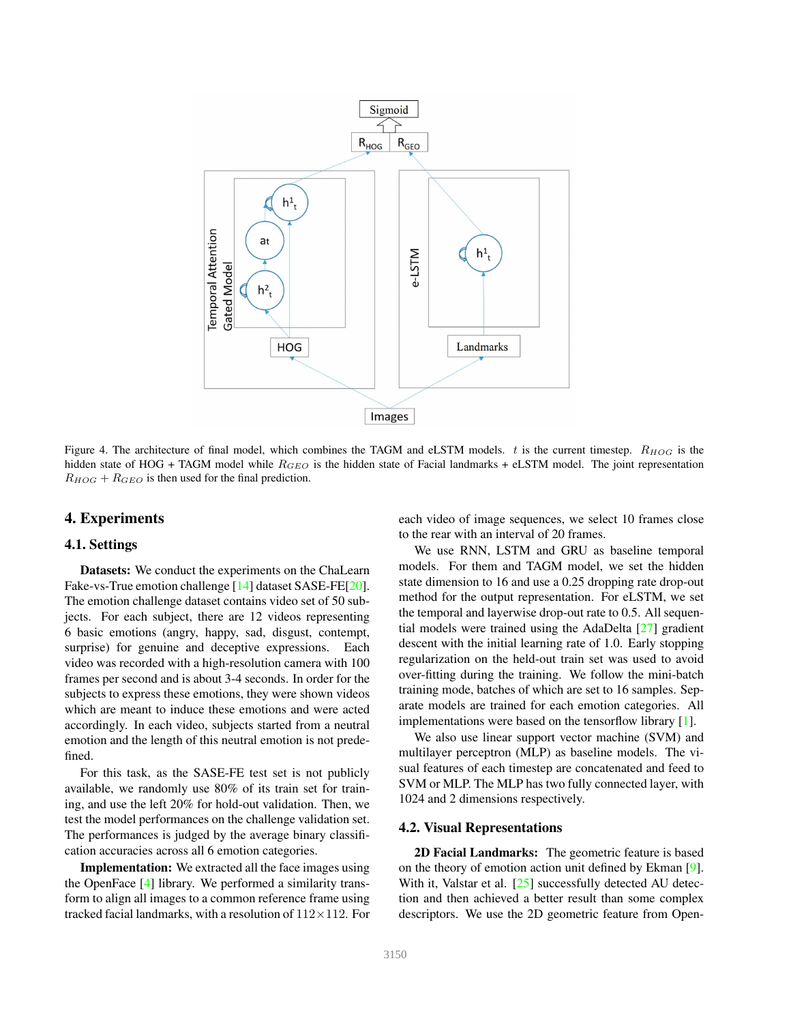<span id="page-3-1"></span>

<span id="page-3-0"></span>Figure 4. The architecture of final model, which combines the TAGM and eLSTM models. t is the current timestep.  $R_{HOG}$  is the hidden state of HOG + TAGM model while  $R_{GEO}$  is the hidden state of Facial landmarks + eLSTM model. The joint representation  $R_{HOG} + R_{GEO}$  is then used for the final prediction.

# 4. Experiments

### 4.1. Settings

Datasets: We conduct the experiments on the ChaLearn Fake-vs-True emotion challenge [\[14\]](#page-6-12) dataset SASE-FE[\[20\]](#page-6-0). The emotion challenge dataset contains video set of 50 subjects. For each subject, there are 12 videos representing 6 basic emotions (angry, happy, sad, disgust, contempt, surprise) for genuine and deceptive expressions. Each video was recorded with a high-resolution camera with 100 frames per second and is about 3-4 seconds. In order for the subjects to express these emotions, they were shown videos which are meant to induce these emotions and were acted accordingly. In each video, subjects started from a neutral emotion and the length of this neutral emotion is not predefined.

For this task, as the SASE-FE test set is not publicly available, we randomly use 80% of its train set for training, and use the left 20% for hold-out validation. Then, we test the model performances on the challenge validation set. The performances is judged by the average binary classification accuracies across all 6 emotion categories.

Implementation: We extracted all the face images using the OpenFace [\[4\]](#page-5-5) library. We performed a similarity transform to align all images to a common reference frame using tracked facial landmarks, with a resolution of  $112\times112$ . For each video of image sequences, we select 10 frames close to the rear with an interval of 20 frames.

We use RNN, LSTM and GRU as baseline temporal models. For them and TAGM model, we set the hidden state dimension to 16 and use a 0.25 dropping rate drop-out method for the output representation. For eLSTM, we set the temporal and layerwise drop-out rate to 0.5. All sequential models were trained using the AdaDelta [\[27\]](#page-6-13) gradient descent with the initial learning rate of 1.0. Early stopping regularization on the held-out train set was used to avoid over-fitting during the training. We follow the mini-batch training mode, batches of which are set to 16 samples. Separate models are trained for each emotion categories. All implementations were based on the tensorflow library [\[1\]](#page-5-6).

We also use linear support vector machine (SVM) and multilayer perceptron (MLP) as baseline models. The visual features of each timestep are concatenated and feed to SVM or MLP. The MLP has two fully connected layer, with 1024 and 2 dimensions respectively.

#### 4.2. Visual Representations

2D Facial Landmarks: The geometric feature is based on the theory of emotion action unit defined by Ekman [\[9\]](#page-5-7). With it, Valstar et al.  $[25]$  successfully detected AU detection and then achieved a better result than some complex descriptors. We use the 2D geometric feature from Open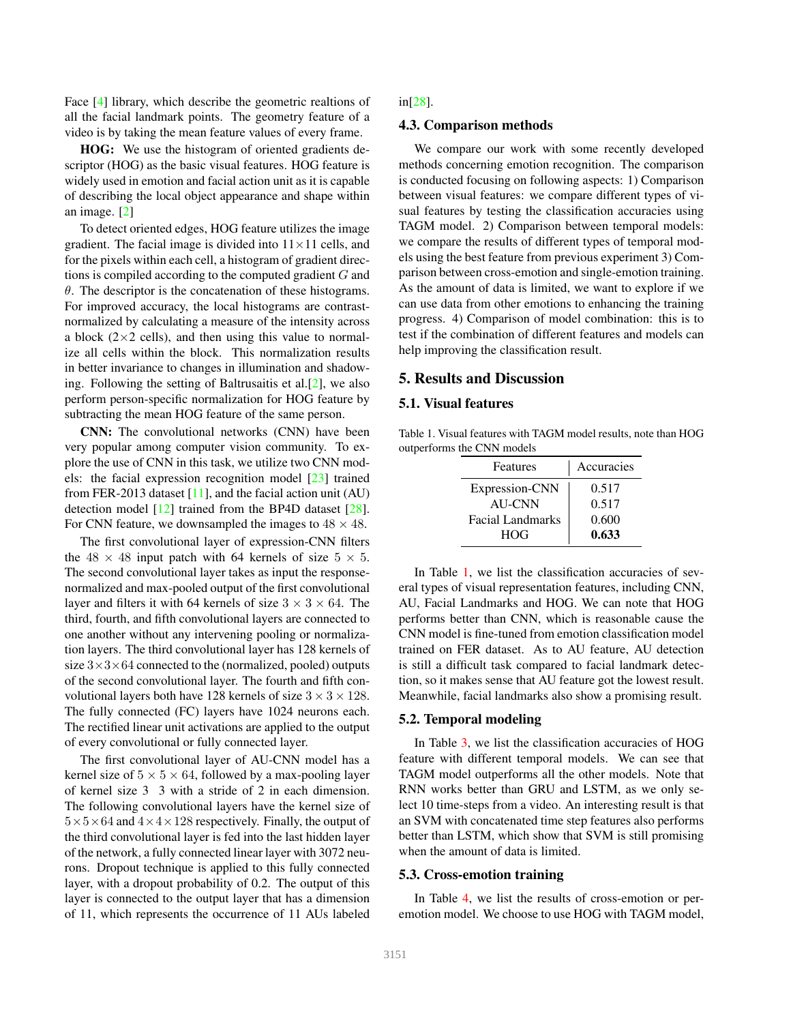<span id="page-4-1"></span>Face [\[4\]](#page-5-5) library, which describe the geometric realtions of all the facial landmark points. The geometry feature of a video is by taking the mean feature values of every frame.

HOG: We use the histogram of oriented gradients descriptor (HOG) as the basic visual features. HOG feature is widely used in emotion and facial action unit as it is capable of describing the local object appearance and shape within an image. [\[2\]](#page-5-8)

To detect oriented edges, HOG feature utilizes the image gradient. The facial image is divided into  $11 \times 11$  cells, and for the pixels within each cell, a histogram of gradient directions is compiled according to the computed gradient G and  $\theta$ . The descriptor is the concatenation of these histograms. For improved accuracy, the local histograms are contrastnormalized by calculating a measure of the intensity across a block  $(2\times2$  cells), and then using this value to normalize all cells within the block. This normalization results in better invariance to changes in illumination and shadowing. Following the setting of Baltrusaitis et al.[\[2\]](#page-5-8), we also perform person-specific normalization for HOG feature by subtracting the mean HOG feature of the same person.

CNN: The convolutional networks (CNN) have been very popular among computer vision community. To explore the use of CNN in this task, we utilize two CNN models: the facial expression recognition model [\[23\]](#page-6-15) trained from FER-2013 dataset  $[11]$ , and the facial action unit (AU) detection model [\[12\]](#page-6-17) trained from the BP4D dataset [\[28\]](#page-6-18). For CNN feature, we downsampled the images to  $48 \times 48$ .

The first convolutional layer of expression-CNN filters the  $48 \times 48$  input patch with 64 kernels of size  $5 \times 5$ . The second convolutional layer takes as input the responsenormalized and max-pooled output of the first convolutional layer and filters it with 64 kernels of size  $3 \times 3 \times 64$ . The third, fourth, and fifth convolutional layers are connected to one another without any intervening pooling or normalization layers. The third convolutional layer has 128 kernels of size  $3\times3\times64$  connected to the (normalized, pooled) outputs of the second convolutional layer. The fourth and fifth convolutional layers both have 128 kernels of size  $3 \times 3 \times 128$ . The fully connected (FC) layers have 1024 neurons each. The rectified linear unit activations are applied to the output of every convolutional or fully connected layer.

The first convolutional layer of AU-CNN model has a kernel size of  $5 \times 5 \times 64$ , followed by a max-pooling layer of kernel size 3 3 with a stride of 2 in each dimension. The following convolutional layers have the kernel size of  $5\times5\times64$  and  $4\times4\times128$  respectively. Finally, the output of the third convolutional layer is fed into the last hidden layer of the network, a fully connected linear layer with 3072 neurons. Dropout technique is applied to this fully connected layer, with a dropout probability of 0.2. The output of this layer is connected to the output layer that has a dimension of 11, which represents the occurrence of 11 AUs labeled

#### in[\[28\]](#page-6-18).

#### 4.3. Comparison methods

We compare our work with some recently developed methods concerning emotion recognition. The comparison is conducted focusing on following aspects: 1) Comparison between visual features: we compare different types of visual features by testing the classification accuracies using TAGM model. 2) Comparison between temporal models: we compare the results of different types of temporal models using the best feature from previous experiment 3) Comparison between cross-emotion and single-emotion training. As the amount of data is limited, we want to explore if we can use data from other emotions to enhancing the training progress. 4) Comparison of model combination: this is to test if the combination of different features and models can help improving the classification result.

#### 5. Results and Discussion

# 5.1. Visual features

Table 1. Visual features with TAGM model results, note than HOG outperforms the CNN models

<span id="page-4-0"></span>

| Features                | Accuracies |
|-------------------------|------------|
| Expression-CNN          | 0.517      |
| AU-CNN                  | 0.517      |
| <b>Facial Landmarks</b> | 0.600      |
| <b>HOG</b>              | 0.633      |

In Table [1,](#page-4-0) we list the classification accuracies of several types of visual representation features, including CNN, AU, Facial Landmarks and HOG. We can note that HOG performs better than CNN, which is reasonable cause the CNN model is fine-tuned from emotion classification model trained on FER dataset. As to AU feature, AU detection is still a difficult task compared to facial landmark detection, so it makes sense that AU feature got the lowest result. Meanwhile, facial landmarks also show a promising result.

#### 5.2. Temporal modeling

In Table [3,](#page-5-9) we list the classification accuracies of HOG feature with different temporal models. We can see that TAGM model outperforms all the other models. Note that RNN works better than GRU and LSTM, as we only select 10 time-steps from a video. An interesting result is that an SVM with concatenated time step features also performs better than LSTM, which show that SVM is still promising when the amount of data is limited.

#### 5.3. Cross-emotion training

In Table [4,](#page-5-10) we list the results of cross-emotion or peremotion model. We choose to use HOG with TAGM model,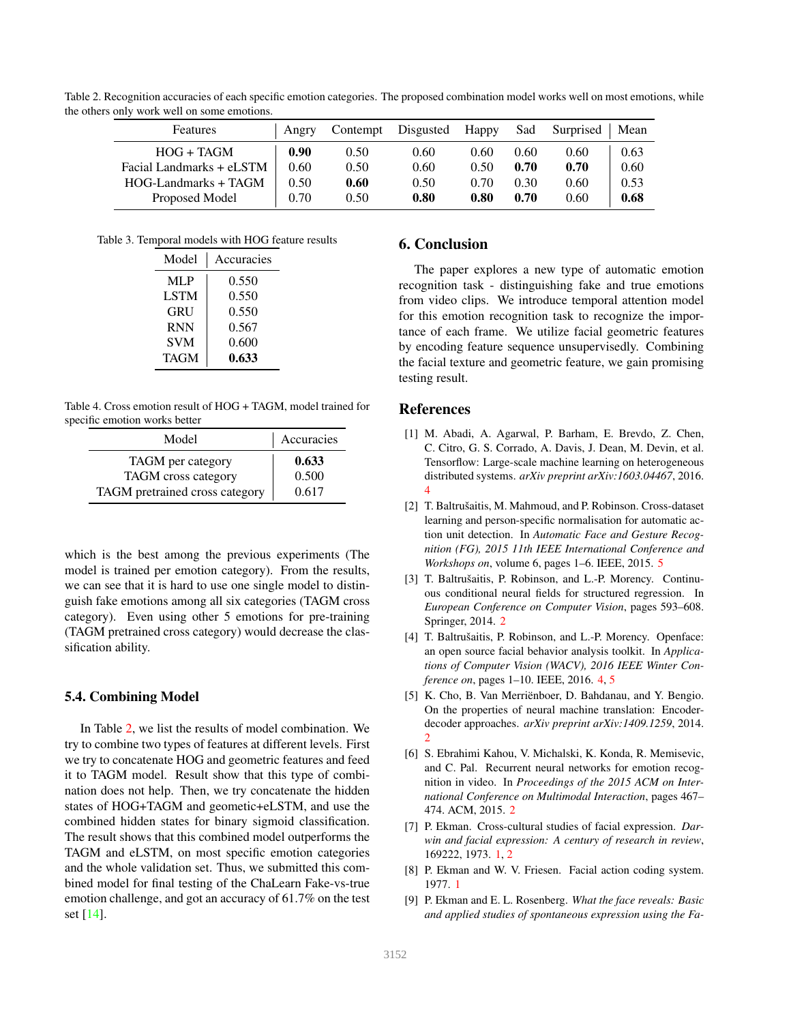<span id="page-5-11"></span>

| Features                 | Angry | Contempt | Disgusted Happy |      | Sad  | Surprised | Mean |
|--------------------------|-------|----------|-----------------|------|------|-----------|------|
| $HOG + TAGM$             | 0.90  | 0.50     | 0.60            | 0.60 | 0.60 | 0.60      | 0.63 |
| Facial Landmarks + eLSTM | 0.60  | 0.50     | 0.60            | 0.50 | 0.70 | 0.70      | 0.60 |
| HOG-Landmarks + TAGM     | 0.50  | 0.60     | 0.50            | 0.70 | 0.30 | 0.60      | 0.53 |
| Proposed Model           | 0.70  | 0.50     | 0.80            | 0.80 | 0.70 | 0.60      | 0.68 |

<span id="page-5-12"></span>Table 2. Recognition accuracies of each specific emotion categories. The proposed combination model works well on most emotions, while the others only work well on some emotions.

Table 3. Temporal models with HOG feature results

<span id="page-5-9"></span>

| Model       | Accuracies |
|-------------|------------|
| MLP         | 0.550      |
| <b>LSTM</b> | 0.550      |
| GRU         | 0.550      |
| <b>RNN</b>  | 0.567      |
| <b>SVM</b>  | 0.600      |
| TAGM        | 0.633      |

<span id="page-5-10"></span>Table 4. Cross emotion result of HOG + TAGM, model trained for specific emotion works better

| Model                          | Accuracies |  |  |
|--------------------------------|------------|--|--|
| TAGM per category              | 0.633      |  |  |
| <b>TAGM</b> cross category     | 0.500      |  |  |
| TAGM pretrained cross category | 0.617      |  |  |

which is the best among the previous experiments (The model is trained per emotion category). From the results, we can see that it is hard to use one single model to distinguish fake emotions among all six categories (TAGM cross category). Even using other 5 emotions for pre-training (TAGM pretrained cross category) would decrease the classification ability.

# 5.4. Combining Model

In Table [2,](#page-5-11) we list the results of model combination. We try to combine two types of features at different levels. First we try to concatenate HOG and geometric features and feed it to TAGM model. Result show that this type of combination does not help. Then, we try concatenate the hidden states of HOG+TAGM and geometic+eLSTM, and use the combined hidden states for binary sigmoid classification. The result shows that this combined model outperforms the TAGM and eLSTM, on most specific emotion categories and the whole validation set. Thus, we submitted this combined model for final testing of the ChaLearn Fake-vs-true emotion challenge, and got an accuracy of 61.7% on the test set [\[14\]](#page-6-12).

## 6. Conclusion

The paper explores a new type of automatic emotion recognition task - distinguishing fake and true emotions from video clips. We introduce temporal attention model for this emotion recognition task to recognize the importance of each frame. We utilize facial geometric features by encoding feature sequence unsupervisedly. Combining the facial texture and geometric feature, we gain promising testing result.

### References

- <span id="page-5-6"></span>[1] M. Abadi, A. Agarwal, P. Barham, E. Brevdo, Z. Chen, C. Citro, G. S. Corrado, A. Davis, J. Dean, M. Devin, et al. Tensorflow: Large-scale machine learning on heterogeneous distributed systems. *arXiv preprint arXiv:1603.04467*, 2016. [4](#page-3-1)
- <span id="page-5-8"></span>[2] T. Baltrušaitis, M. Mahmoud, and P. Robinson. Cross-dataset learning and person-specific normalisation for automatic action unit detection. In *Automatic Face and Gesture Recognition (FG), 2015 11th IEEE International Conference and Workshops on*, volume 6, pages 1–6. IEEE, 2015. [5](#page-4-1)
- <span id="page-5-2"></span>[3] T. Baltrušaitis, P. Robinson, and L.-P. Morency. Continuous conditional neural fields for structured regression. In *European Conference on Computer Vision*, pages 593–608. Springer, 2014. [2](#page-1-1)
- <span id="page-5-5"></span>[4] T. Baltrušaitis, P. Robinson, and L.-P. Morency. Openface: an open source facial behavior analysis toolkit. In *Applications of Computer Vision (WACV), 2016 IEEE Winter Conference on*, pages 1–10. IEEE, 2016. [4,](#page-3-1) [5](#page-4-1)
- <span id="page-5-4"></span>[5] K. Cho, B. Van Merriënboer, D. Bahdanau, and Y. Bengio. On the properties of neural machine translation: Encoderdecoder approaches. *arXiv preprint arXiv:1409.1259*, 2014. [2](#page-1-1)
- <span id="page-5-3"></span>[6] S. Ebrahimi Kahou, V. Michalski, K. Konda, R. Memisevic, and C. Pal. Recurrent neural networks for emotion recognition in video. In *Proceedings of the 2015 ACM on International Conference on Multimodal Interaction*, pages 467– 474. ACM, 2015. [2](#page-1-1)
- <span id="page-5-0"></span>[7] P. Ekman. Cross-cultural studies of facial expression. *Darwin and facial expression: A century of research in review*, 169222, 1973. [1,](#page-0-1) [2](#page-1-1)
- <span id="page-5-1"></span>[8] P. Ekman and W. V. Friesen. Facial action coding system. 1977. [1](#page-0-1)
- <span id="page-5-7"></span>[9] P. Ekman and E. L. Rosenberg. *What the face reveals: Basic and applied studies of spontaneous expression using the Fa-*